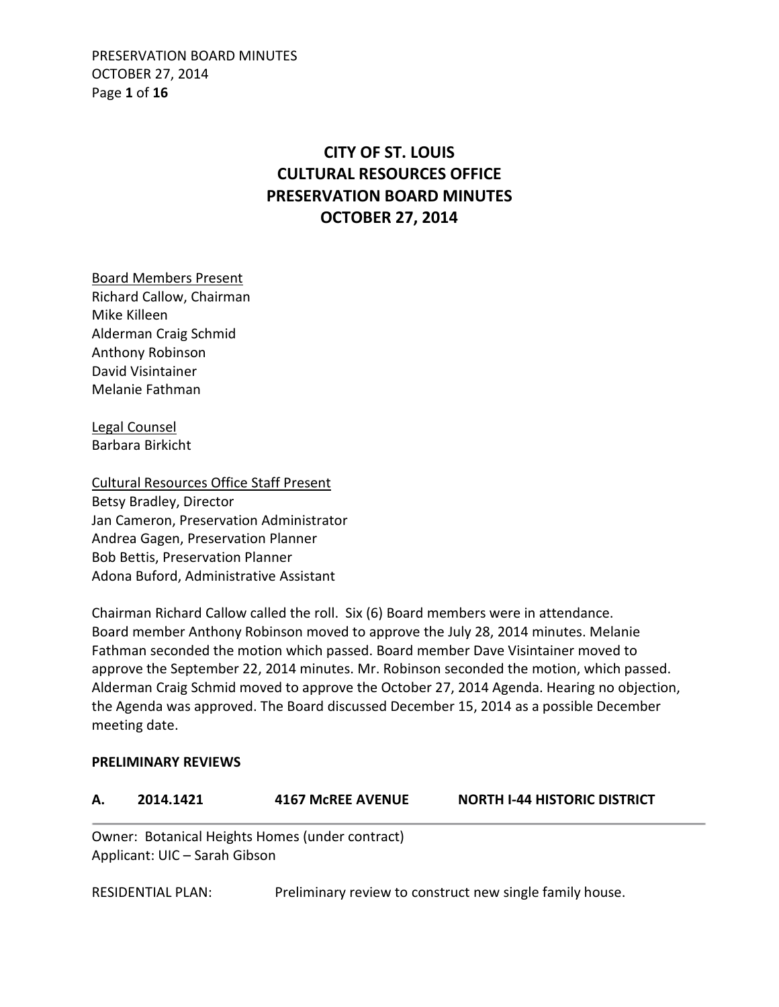PRESERVATION BOARD MINUTES OCTOBER 27, 2014 Page **1** of **16**

# **CITY OF ST. LOUIS CULTURAL RESOURCES OFFICE PRESERVATION BOARD MINUTES OCTOBER 27, 2014**

Board Members Present Richard Callow, Chairman Mike Killeen Alderman Craig Schmid Anthony Robinson David Visintainer Melanie Fathman

Legal Counsel Barbara Birkicht

Cultural Resources Office Staff Present Betsy Bradley, Director Jan Cameron, Preservation Administrator Andrea Gagen, Preservation Planner Bob Bettis, Preservation Planner Adona Buford, Administrative Assistant

Chairman Richard Callow called the roll. Six (6) Board members were in attendance. Board member Anthony Robinson moved to approve the July 28, 2014 minutes. Melanie Fathman seconded the motion which passed. Board member Dave Visintainer moved to approve the September 22, 2014 minutes. Mr. Robinson seconded the motion, which passed. Alderman Craig Schmid moved to approve the October 27, 2014 Agenda. Hearing no objection, the Agenda was approved. The Board discussed December 15, 2014 as a possible December meeting date.

#### **PRELIMINARY REVIEWS**

| 2014.1421 | <b>4167 McREE AVENUE</b> | <b>NORTH I-44 HISTORIC DISTRICT</b> |
|-----------|--------------------------|-------------------------------------|
|           |                          |                                     |

Owner: Botanical Heights Homes (under contract) Applicant: UIC – Sarah Gibson

RESIDENTIAL PLAN: Preliminary review to construct new single family house.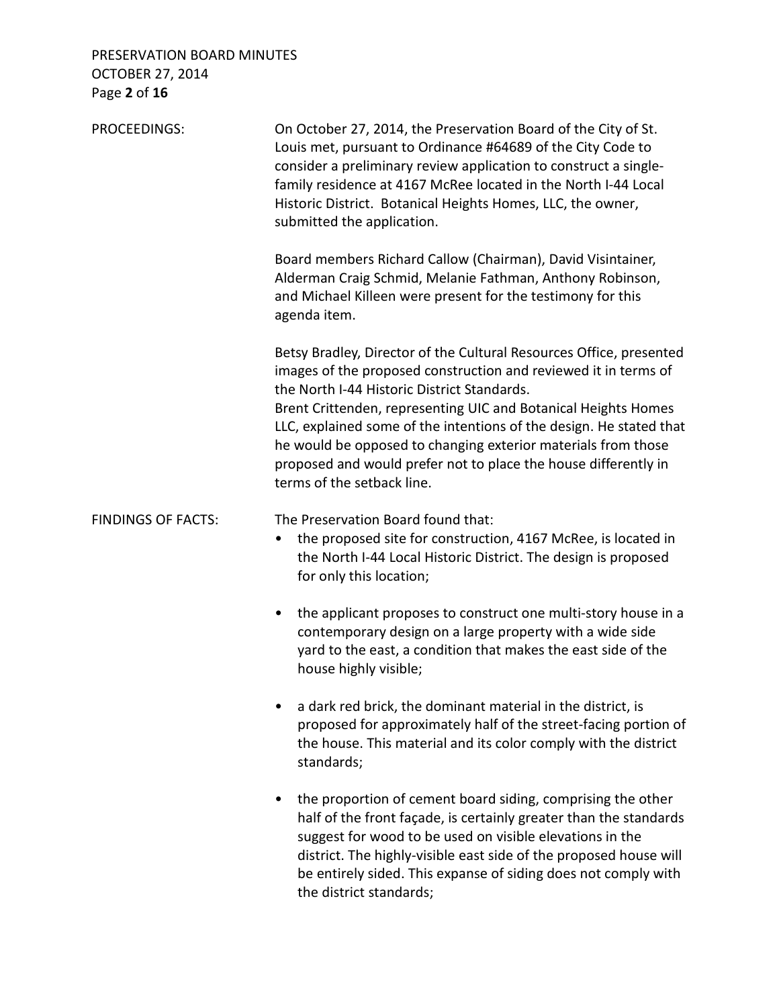### PRESERVATION BOARD MINUTES OCTOBER 27, 2014 Page **2** of **16**

| PROCEEDINGS:              | On October 27, 2014, the Preservation Board of the City of St.<br>Louis met, pursuant to Ordinance #64689 of the City Code to<br>consider a preliminary review application to construct a single-<br>family residence at 4167 McRee located in the North I-44 Local<br>Historic District. Botanical Heights Homes, LLC, the owner,<br>submitted the application.                                                                                                                                 |  |
|---------------------------|--------------------------------------------------------------------------------------------------------------------------------------------------------------------------------------------------------------------------------------------------------------------------------------------------------------------------------------------------------------------------------------------------------------------------------------------------------------------------------------------------|--|
|                           | Board members Richard Callow (Chairman), David Visintainer,<br>Alderman Craig Schmid, Melanie Fathman, Anthony Robinson,<br>and Michael Killeen were present for the testimony for this<br>agenda item.                                                                                                                                                                                                                                                                                          |  |
|                           | Betsy Bradley, Director of the Cultural Resources Office, presented<br>images of the proposed construction and reviewed it in terms of<br>the North I-44 Historic District Standards.<br>Brent Crittenden, representing UIC and Botanical Heights Homes<br>LLC, explained some of the intentions of the design. He stated that<br>he would be opposed to changing exterior materials from those<br>proposed and would prefer not to place the house differently in<br>terms of the setback line. |  |
| <b>FINDINGS OF FACTS:</b> | The Preservation Board found that:<br>the proposed site for construction, 4167 McRee, is located in<br>the North I-44 Local Historic District. The design is proposed<br>for only this location;                                                                                                                                                                                                                                                                                                 |  |
|                           | the applicant proposes to construct one multi-story house in a<br>٠<br>contemporary design on a large property with a wide side<br>yard to the east, a condition that makes the east side of the<br>house highly visible;                                                                                                                                                                                                                                                                        |  |
|                           | a dark red brick, the dominant material in the district, is<br>proposed for approximately half of the street-facing portion of<br>the house. This material and its color comply with the district<br>standards;                                                                                                                                                                                                                                                                                  |  |
|                           | the proportion of cement board siding, comprising the other<br>٠<br>half of the front façade, is certainly greater than the standards<br>suggest for wood to be used on visible elevations in the<br>district. The highly-visible east side of the proposed house will<br>be entirely sided. This expanse of siding does not comply with<br>the district standards;                                                                                                                              |  |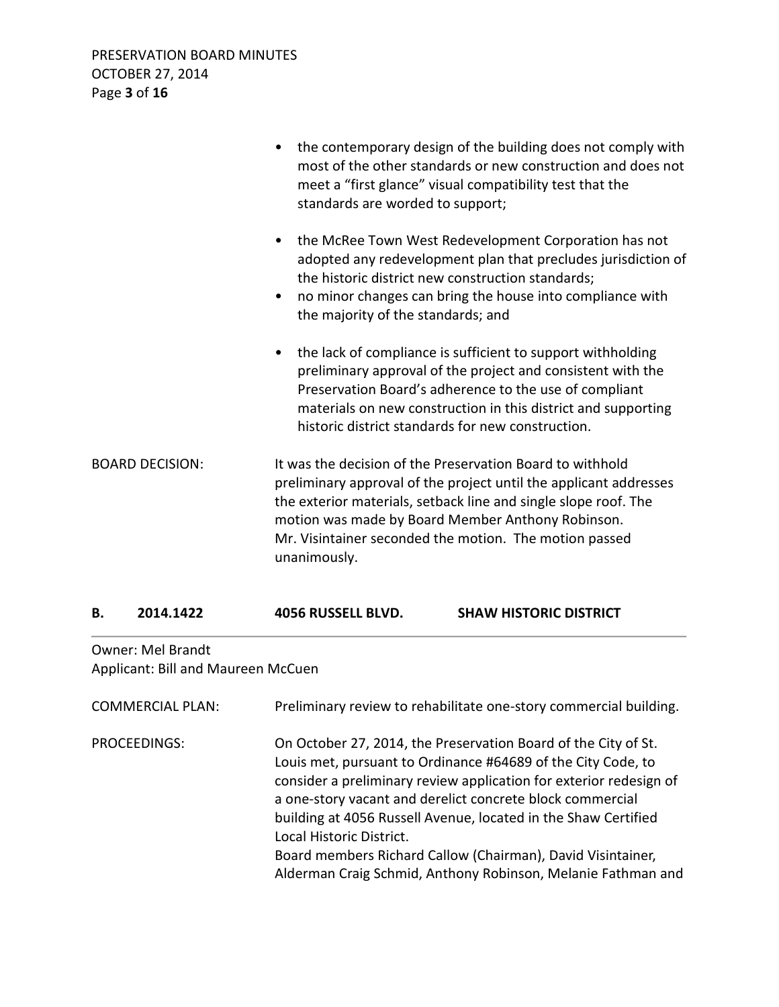|                        | the contemporary design of the building does not comply with<br>most of the other standards or new construction and does not<br>meet a "first glance" visual compatibility test that the<br>standards are worded to support;                                                                                                     |
|------------------------|----------------------------------------------------------------------------------------------------------------------------------------------------------------------------------------------------------------------------------------------------------------------------------------------------------------------------------|
|                        | the McRee Town West Redevelopment Corporation has not<br>$\bullet$<br>adopted any redevelopment plan that precludes jurisdiction of<br>the historic district new construction standards;<br>no minor changes can bring the house into compliance with<br>٠<br>the majority of the standards; and                                 |
|                        | the lack of compliance is sufficient to support withholding<br>$\bullet$<br>preliminary approval of the project and consistent with the<br>Preservation Board's adherence to the use of compliant<br>materials on new construction in this district and supporting<br>historic district standards for new construction.          |
| <b>BOARD DECISION:</b> | It was the decision of the Preservation Board to withhold<br>preliminary approval of the project until the applicant addresses<br>the exterior materials, setback line and single slope roof. The<br>motion was made by Board Member Anthony Robinson.<br>Mr. Visintainer seconded the motion. The motion passed<br>unanimously. |

|  | 2014.1422 | 4056 RUSSELL BLVD. | <b>SHAW HISTORIC DISTRICT</b> |
|--|-----------|--------------------|-------------------------------|
|--|-----------|--------------------|-------------------------------|

### Owner: Mel Brandt Applicant: Bill and Maureen McCuen

| <b>COMMERCIAL PLAN:</b> | Preliminary review to rehabilitate one-story commercial building.                                                                                                                                                                                                                                                                                                                                                                                                                              |
|-------------------------|------------------------------------------------------------------------------------------------------------------------------------------------------------------------------------------------------------------------------------------------------------------------------------------------------------------------------------------------------------------------------------------------------------------------------------------------------------------------------------------------|
| PROCEEDINGS:            | On October 27, 2014, the Preservation Board of the City of St.<br>Louis met, pursuant to Ordinance #64689 of the City Code, to<br>consider a preliminary review application for exterior redesign of<br>a one-story vacant and derelict concrete block commercial<br>building at 4056 Russell Avenue, located in the Shaw Certified<br>Local Historic District.<br>Board members Richard Callow (Chairman), David Visintainer,<br>Alderman Craig Schmid, Anthony Robinson, Melanie Fathman and |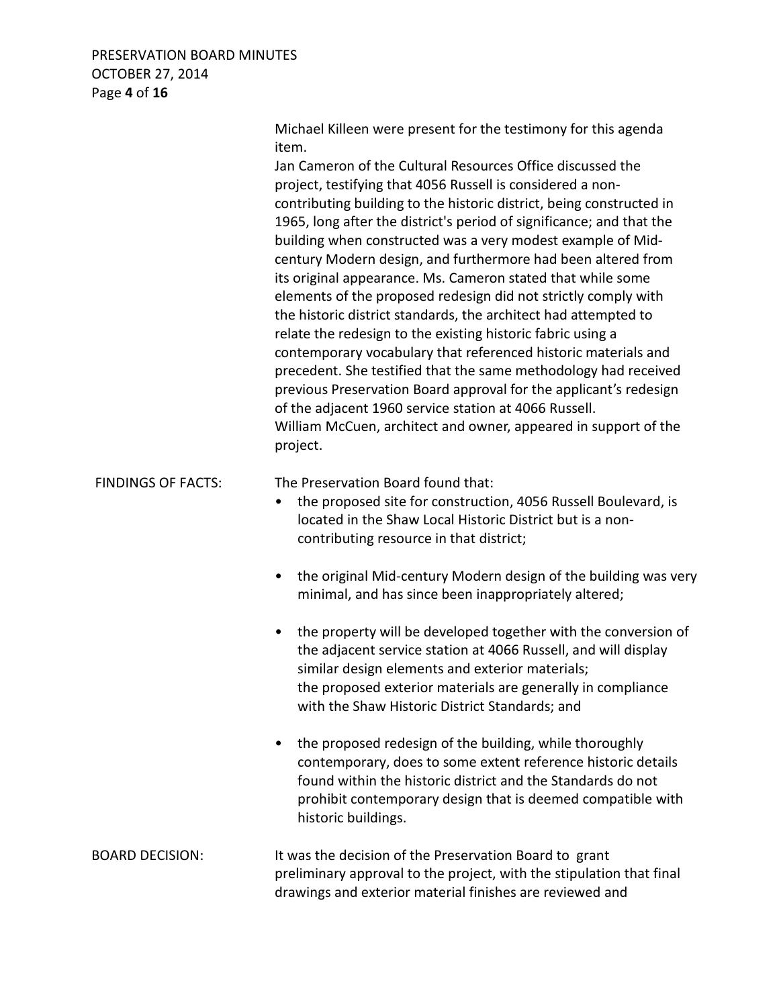#### PRESERVATION BOARD MINUTES OCTOBER 27, 2014 Page **4** of **16**

 Michael Killeen were present for the testimony for this agenda item.

 Jan Cameron of the Cultural Resources Office discussed the project, testifying that 4056 Russell is considered a non contributing building to the historic district, being constructed in 1965, long after the district's period of significance; and that the building when constructed was a very modest example of Mid century Modern design, and furthermore had been altered from its original appearance. Ms. Cameron stated that while some elements of the proposed redesign did not strictly comply with the historic district standards, the architect had attempted to relate the redesign to the existing historic fabric using a contemporary vocabulary that referenced historic materials and precedent. She testified that the same methodology had received previous Preservation Board approval for the applicant's redesign of the adjacent 1960 service station at 4066 Russell. William McCuen, architect and owner, appeared in support of the project.

FINDINGS OF FACTS: The Preservation Board found that:

- the proposed site for construction, 4056 Russell Boulevard, is located in the Shaw Local Historic District but is a noncontributing resource in that district;
- the original Mid-century Modern design of the building was very minimal, and has since been inappropriately altered;
- the property will be developed together with the conversion of the adjacent service station at 4066 Russell, and will display similar design elements and exterior materials; the proposed exterior materials are generally in compliance with the Shaw Historic District Standards; and
- the proposed redesign of the building, while thoroughly contemporary, does to some extent reference historic details found within the historic district and the Standards do not prohibit contemporary design that is deemed compatible with historic buildings.
- BOARD DECISION: It was the decision of the Preservation Board to grant preliminary approval to the project, with the stipulation that final drawings and exterior material finishes are reviewed and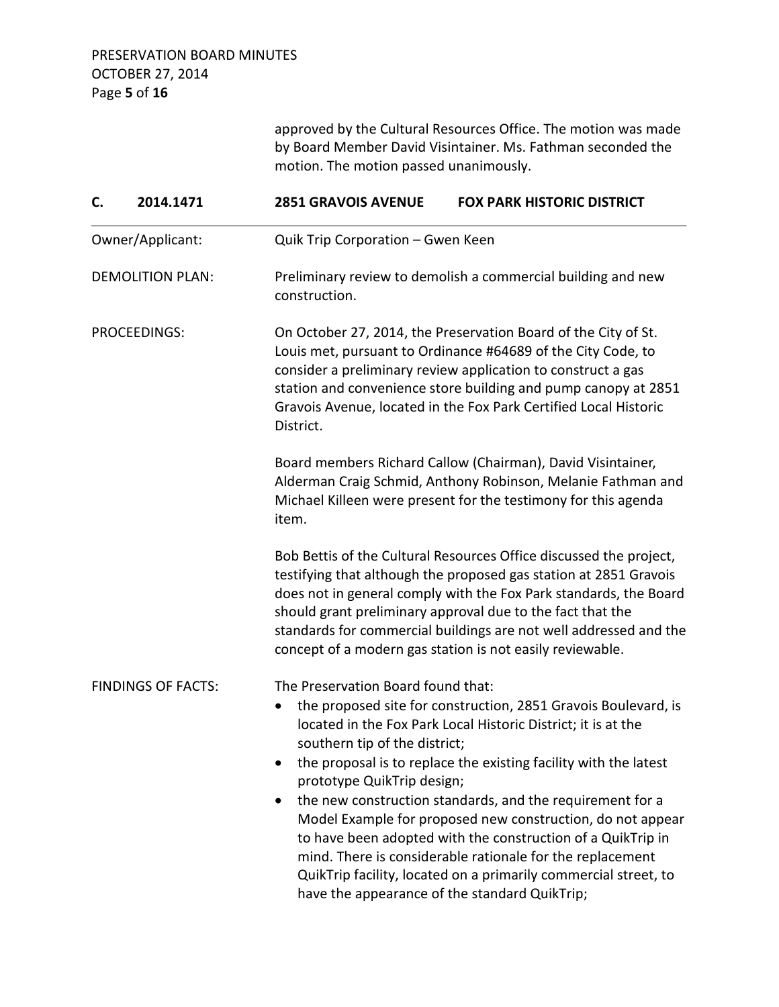approved by the Cultural Resources Office. The motion was made by Board Member David Visintainer. Ms. Fathman seconded the motion. The motion passed unanimously. **C. 2014.1471 2851 GRAVOIS AVENUE FOX PARK HISTORIC DISTRICT**  Owner/Applicant: Quik Trip Corporation – Gwen Keen DEMOLITION PLAN: Preliminary review to demolish a commercial building and new construction. PROCEEDINGS: On October 27, 2014, the Preservation Board of the City of St. Louis met, pursuant to Ordinance #64689 of the City Code, to consider a preliminary review application to construct a gas station and convenience store building and pump canopy at 2851 Gravois Avenue, located in the Fox Park Certified Local Historic District. Board members Richard Callow (Chairman), David Visintainer, Alderman Craig Schmid, Anthony Robinson, Melanie Fathman and Michael Killeen were present for the testimony for this agenda item. Bob Bettis of the Cultural Resources Office discussed the project, testifying that although the proposed gas station at 2851 Gravois does not in general comply with the Fox Park standards, the Board should grant preliminary approval due to the fact that the standards for commercial buildings are not well addressed and the concept of a modern gas station is not easily reviewable. FINDINGS OF FACTS: The Preservation Board found that: • the proposed site for construction, 2851 Gravois Boulevard, is located in the Fox Park Local Historic District; it is at the southern tip of the district; • the proposal is to replace the existing facility with the latest prototype QuikTrip design; • the new construction standards, and the requirement for a Model Example for proposed new construction, do not appear to have been adopted with the construction of a QuikTrip in mind. There is considerable rationale for the replacement

QuikTrip facility, located on a primarily commercial street, to

have the appearance of the standard QuikTrip;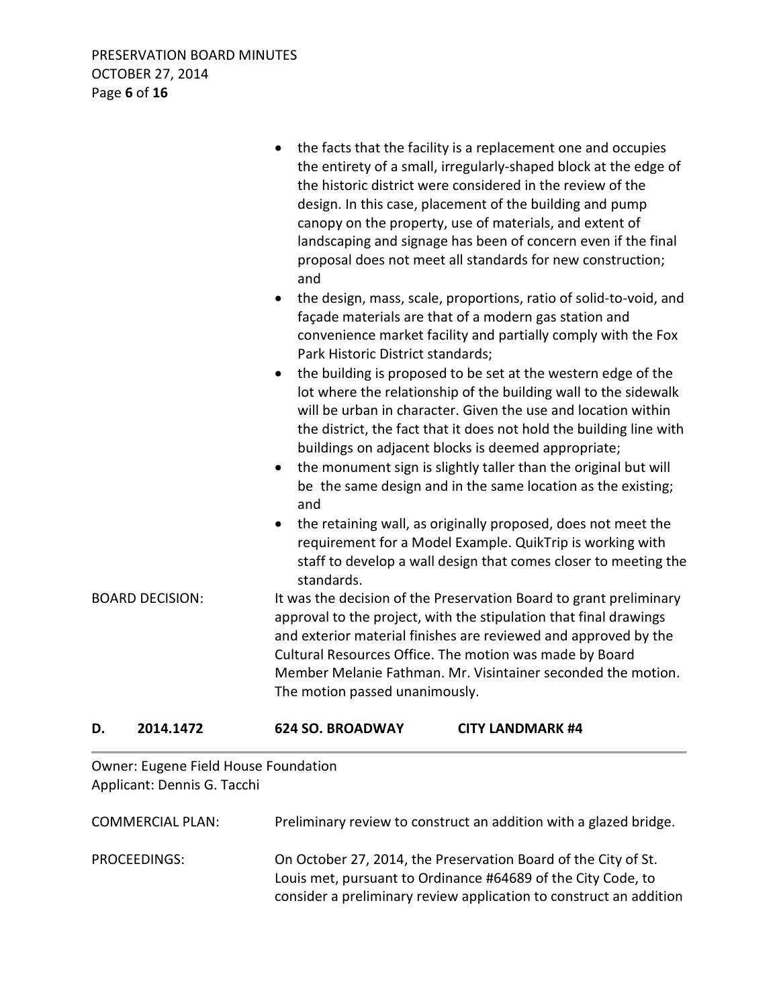| <b>BOARD DECISION:</b> |           | and<br>$\bullet$<br>Park Historic District standards;<br>$\bullet$<br>and<br>$\bullet$<br>standards. | the facts that the facility is a replacement one and occupies<br>the entirety of a small, irregularly-shaped block at the edge of<br>the historic district were considered in the review of the<br>design. In this case, placement of the building and pump<br>canopy on the property, use of materials, and extent of<br>landscaping and signage has been of concern even if the final<br>proposal does not meet all standards for new construction;<br>the design, mass, scale, proportions, ratio of solid-to-void, and<br>façade materials are that of a modern gas station and<br>convenience market facility and partially comply with the Fox<br>the building is proposed to be set at the western edge of the<br>lot where the relationship of the building wall to the sidewalk<br>will be urban in character. Given the use and location within<br>the district, the fact that it does not hold the building line with<br>buildings on adjacent blocks is deemed appropriate;<br>the monument sign is slightly taller than the original but will<br>be the same design and in the same location as the existing;<br>the retaining wall, as originally proposed, does not meet the<br>requirement for a Model Example. QuikTrip is working with<br>staff to develop a wall design that comes closer to meeting the<br>It was the decision of the Preservation Board to grant preliminary<br>approval to the project, with the stipulation that final drawings<br>and exterior material finishes are reviewed and approved by the |
|------------------------|-----------|------------------------------------------------------------------------------------------------------|-------------------------------------------------------------------------------------------------------------------------------------------------------------------------------------------------------------------------------------------------------------------------------------------------------------------------------------------------------------------------------------------------------------------------------------------------------------------------------------------------------------------------------------------------------------------------------------------------------------------------------------------------------------------------------------------------------------------------------------------------------------------------------------------------------------------------------------------------------------------------------------------------------------------------------------------------------------------------------------------------------------------------------------------------------------------------------------------------------------------------------------------------------------------------------------------------------------------------------------------------------------------------------------------------------------------------------------------------------------------------------------------------------------------------------------------------------------------------------------------------------------------------------------------|
| D.                     | 2014.1472 | The motion passed unanimously.<br>624 SO. BROADWAY                                                   | Cultural Resources Office. The motion was made by Board<br>Member Melanie Fathman. Mr. Visintainer seconded the motion.<br><b>CITY LANDMARK #4</b>                                                                                                                                                                                                                                                                                                                                                                                                                                                                                                                                                                                                                                                                                                                                                                                                                                                                                                                                                                                                                                                                                                                                                                                                                                                                                                                                                                                        |
|                        |           |                                                                                                      |                                                                                                                                                                                                                                                                                                                                                                                                                                                                                                                                                                                                                                                                                                                                                                                                                                                                                                                                                                                                                                                                                                                                                                                                                                                                                                                                                                                                                                                                                                                                           |

Owner: Eugene Field House Foundation Applicant: Dennis G. Tacchi

| <b>COMMERCIAL PLAN:</b> | Preliminary review to construct an addition with a glazed bridge.                                                                                                                                    |
|-------------------------|------------------------------------------------------------------------------------------------------------------------------------------------------------------------------------------------------|
| PROCEEDINGS:            | On October 27, 2014, the Preservation Board of the City of St.<br>Louis met, pursuant to Ordinance #64689 of the City Code, to<br>consider a preliminary review application to construct an addition |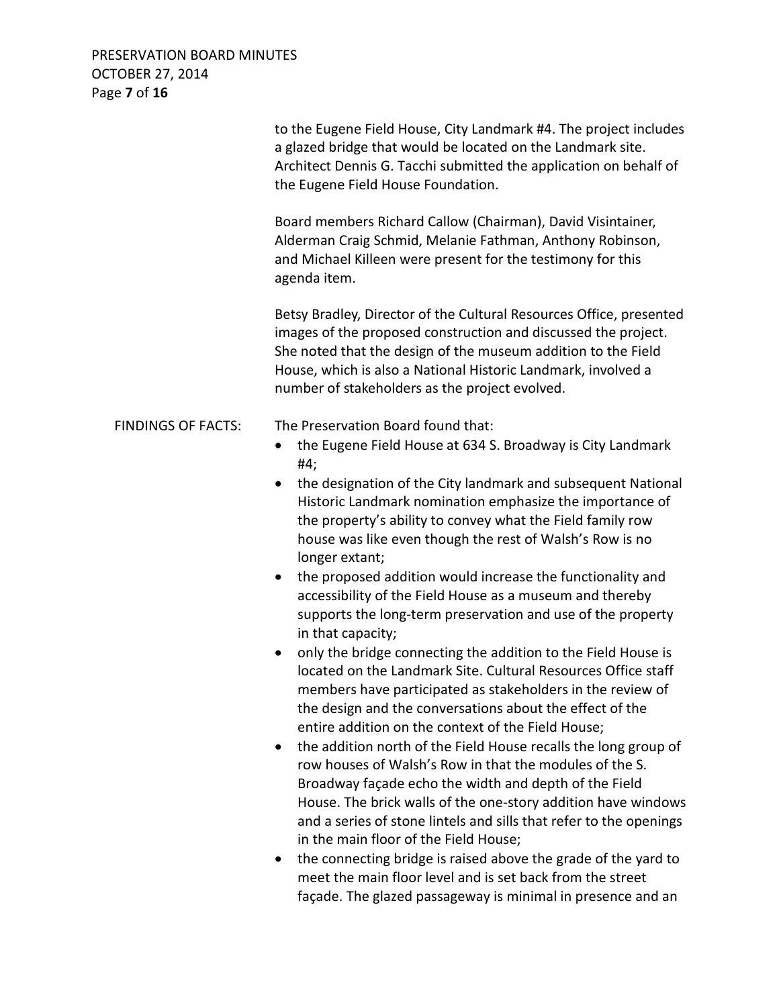PRESERVATION BOARD MINUTES OCTOBER 27, 2014 Page **7** of **16**

|                           | to the Eugene Field House, City Landmark #4. The project includes<br>a glazed bridge that would be located on the Landmark site.<br>Architect Dennis G. Tacchi submitted the application on behalf of<br>the Eugene Field House Foundation.<br>Board members Richard Callow (Chairman), David Visintainer,<br>Alderman Craig Schmid, Melanie Fathman, Anthony Robinson,<br>and Michael Killeen were present for the testimony for this<br>agenda item.                                                                                                                                                                                                                                                                                                                                                                                                                                                                                                                                                                                                                                                                                                                                                                                                                                                                        |  |
|---------------------------|-------------------------------------------------------------------------------------------------------------------------------------------------------------------------------------------------------------------------------------------------------------------------------------------------------------------------------------------------------------------------------------------------------------------------------------------------------------------------------------------------------------------------------------------------------------------------------------------------------------------------------------------------------------------------------------------------------------------------------------------------------------------------------------------------------------------------------------------------------------------------------------------------------------------------------------------------------------------------------------------------------------------------------------------------------------------------------------------------------------------------------------------------------------------------------------------------------------------------------------------------------------------------------------------------------------------------------|--|
|                           |                                                                                                                                                                                                                                                                                                                                                                                                                                                                                                                                                                                                                                                                                                                                                                                                                                                                                                                                                                                                                                                                                                                                                                                                                                                                                                                               |  |
|                           | Betsy Bradley, Director of the Cultural Resources Office, presented<br>images of the proposed construction and discussed the project.<br>She noted that the design of the museum addition to the Field<br>House, which is also a National Historic Landmark, involved a<br>number of stakeholders as the project evolved.                                                                                                                                                                                                                                                                                                                                                                                                                                                                                                                                                                                                                                                                                                                                                                                                                                                                                                                                                                                                     |  |
| <b>FINDINGS OF FACTS:</b> | The Preservation Board found that:<br>the Eugene Field House at 634 S. Broadway is City Landmark<br>#4;<br>the designation of the City landmark and subsequent National<br>Historic Landmark nomination emphasize the importance of<br>the property's ability to convey what the Field family row<br>house was like even though the rest of Walsh's Row is no<br>longer extant;<br>the proposed addition would increase the functionality and<br>$\bullet$<br>accessibility of the Field House as a museum and thereby<br>supports the long-term preservation and use of the property<br>in that capacity;<br>only the bridge connecting the addition to the Field House is<br>$\bullet$<br>located on the Landmark Site. Cultural Resources Office staff<br>members have participated as stakeholders in the review of<br>the design and the conversations about the effect of the<br>entire addition on the context of the Field House;<br>the addition north of the Field House recalls the long group of<br>$\bullet$<br>row houses of Walsh's Row in that the modules of the S.<br>Broadway façade echo the width and depth of the Field<br>House. The brick walls of the one-story addition have windows<br>and a series of stone lintels and sills that refer to the openings<br>in the main floor of the Field House; |  |

• the connecting bridge is raised above the grade of the yard to meet the main floor level and is set back from the street façade. The glazed passageway is minimal in presence and an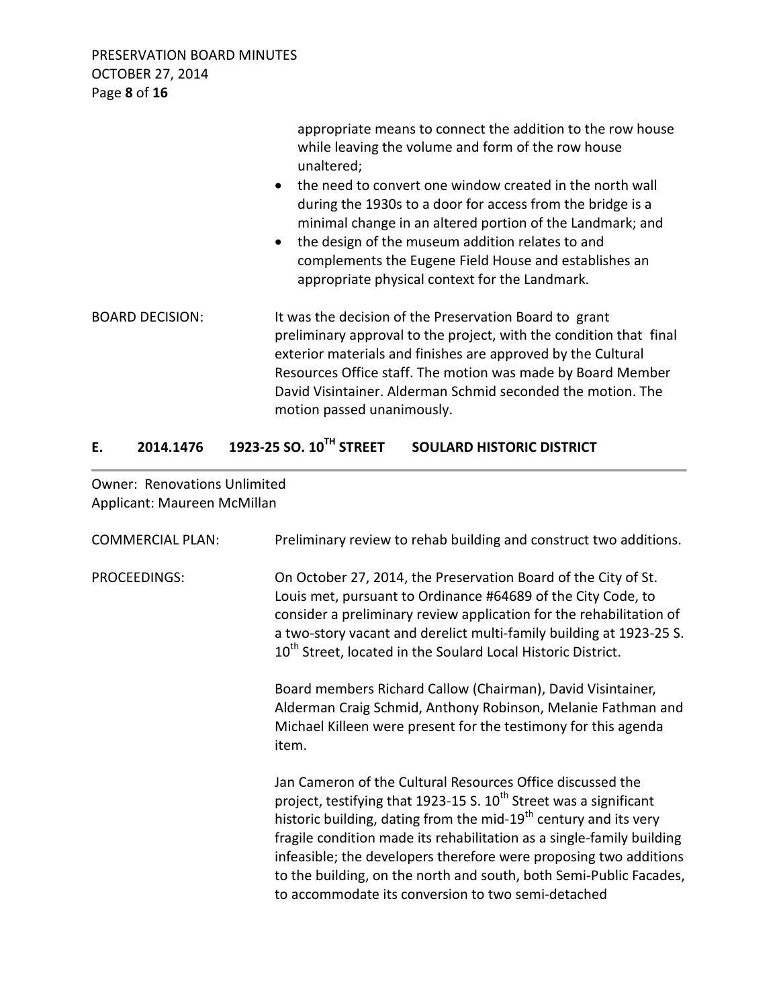PRESERVATION BOARD MINUTES OCTOBER 27, 2014 Page **8** of **16**

|                        | appropriate means to connect the addition to the row house<br>while leaving the volume and form of the row house<br>unaltered;<br>the need to convert one window created in the north wall<br>$\bullet$<br>during the 1930s to a door for access from the bridge is a<br>minimal change in an altered portion of the Landmark; and<br>the design of the museum addition relates to and<br>$\bullet$<br>complements the Eugene Field House and establishes an<br>appropriate physical context for the Landmark. |
|------------------------|----------------------------------------------------------------------------------------------------------------------------------------------------------------------------------------------------------------------------------------------------------------------------------------------------------------------------------------------------------------------------------------------------------------------------------------------------------------------------------------------------------------|
| <b>BOARD DECISION:</b> | It was the decision of the Preservation Board to grant<br>preliminary approval to the project, with the condition that final<br>exterior materials and finishes are approved by the Cultural<br>Resources Office staff. The motion was made by Board Member<br>David Visintainer. Alderman Schmid seconded the motion. The<br>motion passed unanimously.                                                                                                                                                       |

# **E. 2014.1476 1923-25 SO. 10TH STREET SOULARD HISTORIC DISTRICT**

Owner: Renovations Unlimited Applicant: Maureen McMillan

| <b>COMMERCIAL PLAN:</b> | Preliminary review to rehab building and construct two additions.                                                                                                                                                                                                                                                                                                                                                                                                                              |
|-------------------------|------------------------------------------------------------------------------------------------------------------------------------------------------------------------------------------------------------------------------------------------------------------------------------------------------------------------------------------------------------------------------------------------------------------------------------------------------------------------------------------------|
| <b>PROCEEDINGS:</b>     | On October 27, 2014, the Preservation Board of the City of St.<br>Louis met, pursuant to Ordinance #64689 of the City Code, to<br>consider a preliminary review application for the rehabilitation of<br>a two-story vacant and derelict multi-family building at 1923-25 S.<br>10 <sup>th</sup> Street, located in the Soulard Local Historic District.                                                                                                                                       |
|                         | Board members Richard Callow (Chairman), David Visintainer,<br>Alderman Craig Schmid, Anthony Robinson, Melanie Fathman and<br>Michael Killeen were present for the testimony for this agenda<br>item.                                                                                                                                                                                                                                                                                         |
|                         | Jan Cameron of the Cultural Resources Office discussed the<br>project, testifying that 1923-15 S. $10^{th}$ Street was a significant<br>historic building, dating from the mid-19 <sup>th</sup> century and its very<br>fragile condition made its rehabilitation as a single-family building<br>infeasible; the developers therefore were proposing two additions<br>to the building, on the north and south, both Semi-Public Facades,<br>to accommodate its conversion to two semi-detached |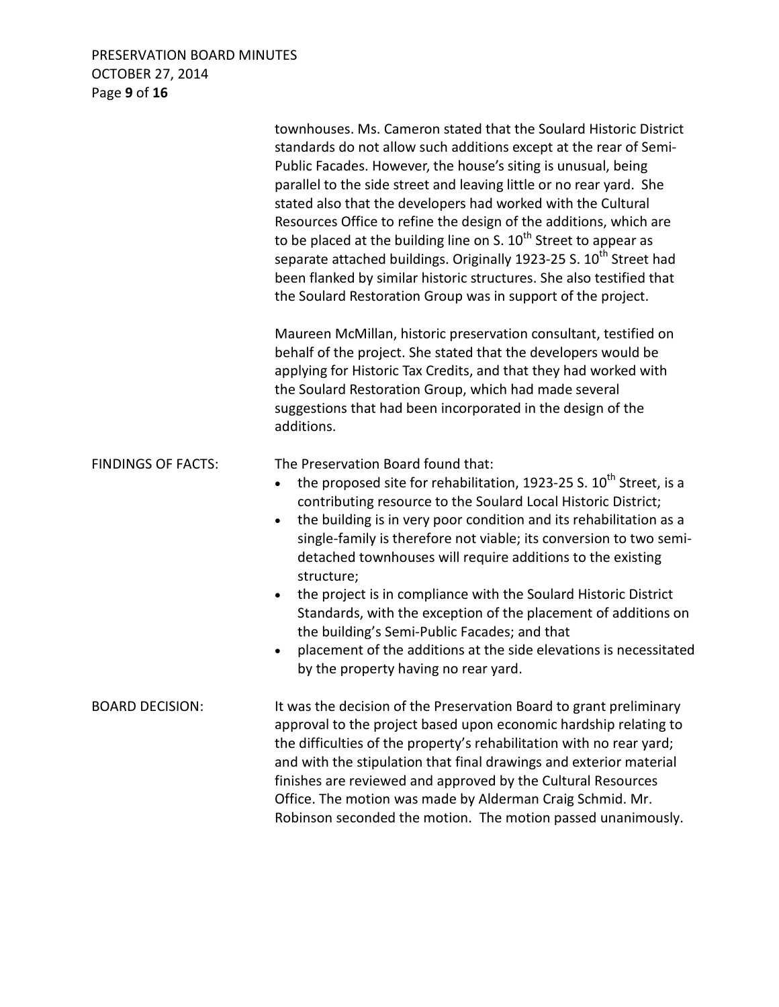#### PRESERVATION BOARD MINUTES OCTOBER 27, 2014 Page **9** of **16**

|                           | townhouses. Ms. Cameron stated that the Soulard Historic District<br>standards do not allow such additions except at the rear of Semi-<br>Public Facades. However, the house's siting is unusual, being<br>parallel to the side street and leaving little or no rear yard. She<br>stated also that the developers had worked with the Cultural<br>Resources Office to refine the design of the additions, which are<br>to be placed at the building line on S. 10 <sup>th</sup> Street to appear as<br>separate attached buildings. Originally 1923-25 S. 10 <sup>th</sup> Street had<br>been flanked by similar historic structures. She also testified that<br>the Soulard Restoration Group was in support of the project. |
|---------------------------|-------------------------------------------------------------------------------------------------------------------------------------------------------------------------------------------------------------------------------------------------------------------------------------------------------------------------------------------------------------------------------------------------------------------------------------------------------------------------------------------------------------------------------------------------------------------------------------------------------------------------------------------------------------------------------------------------------------------------------|
|                           | Maureen McMillan, historic preservation consultant, testified on<br>behalf of the project. She stated that the developers would be<br>applying for Historic Tax Credits, and that they had worked with<br>the Soulard Restoration Group, which had made several<br>suggestions that had been incorporated in the design of the<br>additions.                                                                                                                                                                                                                                                                                                                                                                                  |
| <b>FINDINGS OF FACTS:</b> | The Preservation Board found that:<br>the proposed site for rehabilitation, 1923-25 S. 10 <sup>th</sup> Street, is a<br>contributing resource to the Soulard Local Historic District;<br>the building is in very poor condition and its rehabilitation as a<br>single-family is therefore not viable; its conversion to two semi-<br>detached townhouses will require additions to the existing<br>structure;<br>the project is in compliance with the Soulard Historic District<br>Standards, with the exception of the placement of additions on<br>the building's Semi-Public Facades; and that<br>placement of the additions at the side elevations is necessitated<br>by the property having no rear yard.               |
| <b>BOARD DECISION:</b>    | It was the decision of the Preservation Board to grant preliminary<br>approval to the project based upon economic hardship relating to<br>the difficulties of the property's rehabilitation with no rear yard;<br>and with the stipulation that final drawings and exterior material<br>finishes are reviewed and approved by the Cultural Resources<br>Office. The motion was made by Alderman Craig Schmid. Mr.<br>Robinson seconded the motion. The motion passed unanimously.                                                                                                                                                                                                                                             |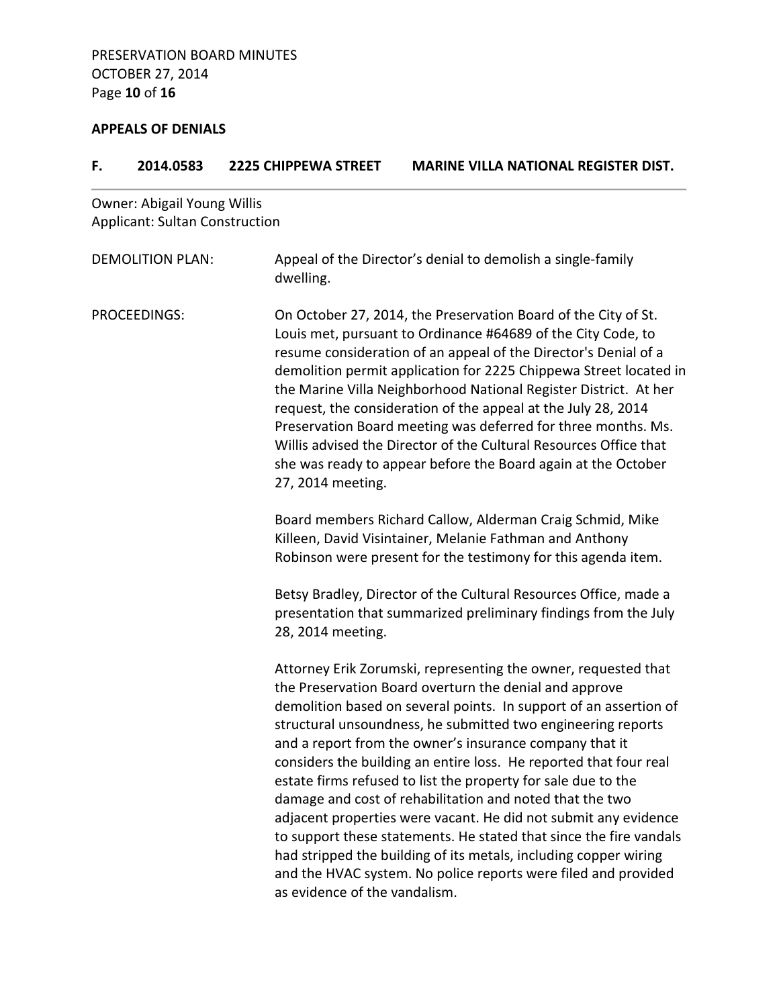# **APPEALS OF DENIALS**

| F. | 2014.0583                                                                   | <b>2225 CHIPPEWA STREET</b>   | <b>MARINE VILLA NATIONAL REGISTER DIST.</b>                                                                                                                                                                                                                                                                                                                                                                                                                                                                                                                                                                                                                                                                                                                                                               |
|----|-----------------------------------------------------------------------------|-------------------------------|-----------------------------------------------------------------------------------------------------------------------------------------------------------------------------------------------------------------------------------------------------------------------------------------------------------------------------------------------------------------------------------------------------------------------------------------------------------------------------------------------------------------------------------------------------------------------------------------------------------------------------------------------------------------------------------------------------------------------------------------------------------------------------------------------------------|
|    | <b>Owner: Abigail Young Willis</b><br><b>Applicant: Sultan Construction</b> |                               |                                                                                                                                                                                                                                                                                                                                                                                                                                                                                                                                                                                                                                                                                                                                                                                                           |
|    | <b>DEMOLITION PLAN:</b>                                                     | dwelling.                     | Appeal of the Director's denial to demolish a single-family                                                                                                                                                                                                                                                                                                                                                                                                                                                                                                                                                                                                                                                                                                                                               |
|    | PROCEEDINGS:                                                                | 27, 2014 meeting.             | On October 27, 2014, the Preservation Board of the City of St.<br>Louis met, pursuant to Ordinance #64689 of the City Code, to<br>resume consideration of an appeal of the Director's Denial of a<br>demolition permit application for 2225 Chippewa Street located in<br>the Marine Villa Neighborhood National Register District. At her<br>request, the consideration of the appeal at the July 28, 2014<br>Preservation Board meeting was deferred for three months. Ms.<br>Willis advised the Director of the Cultural Resources Office that<br>she was ready to appear before the Board again at the October                                                                                                                                                                                        |
|    |                                                                             |                               | Board members Richard Callow, Alderman Craig Schmid, Mike<br>Killeen, David Visintainer, Melanie Fathman and Anthony<br>Robinson were present for the testimony for this agenda item.                                                                                                                                                                                                                                                                                                                                                                                                                                                                                                                                                                                                                     |
|    |                                                                             | 28, 2014 meeting.             | Betsy Bradley, Director of the Cultural Resources Office, made a<br>presentation that summarized preliminary findings from the July                                                                                                                                                                                                                                                                                                                                                                                                                                                                                                                                                                                                                                                                       |
|    |                                                                             | as evidence of the vandalism. | Attorney Erik Zorumski, representing the owner, requested that<br>the Preservation Board overturn the denial and approve<br>demolition based on several points. In support of an assertion of<br>structural unsoundness, he submitted two engineering reports<br>and a report from the owner's insurance company that it<br>considers the building an entire loss. He reported that four real<br>estate firms refused to list the property for sale due to the<br>damage and cost of rehabilitation and noted that the two<br>adjacent properties were vacant. He did not submit any evidence<br>to support these statements. He stated that since the fire vandals<br>had stripped the building of its metals, including copper wiring<br>and the HVAC system. No police reports were filed and provided |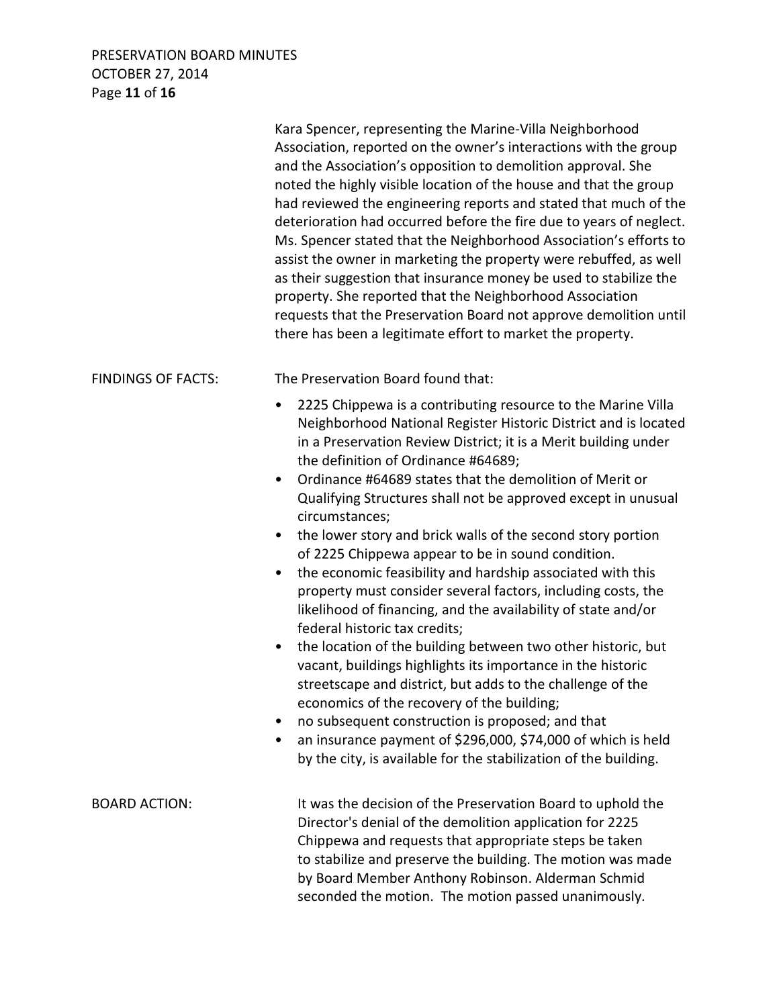# PRESERVATION BOARD MINUTES OCTOBER 27, 2014 Page **11** of **16**

|                           | Kara Spencer, representing the Marine-Villa Neighborhood<br>Association, reported on the owner's interactions with the group<br>and the Association's opposition to demolition approval. She<br>noted the highly visible location of the house and that the group<br>had reviewed the engineering reports and stated that much of the<br>deterioration had occurred before the fire due to years of neglect.<br>Ms. Spencer stated that the Neighborhood Association's efforts to<br>assist the owner in marketing the property were rebuffed, as well<br>as their suggestion that insurance money be used to stabilize the<br>property. She reported that the Neighborhood Association<br>requests that the Preservation Board not approve demolition until<br>there has been a legitimate effort to market the property.                                                                                                                                                                                                                                                                                                                                                                                                                                                                      |
|---------------------------|-------------------------------------------------------------------------------------------------------------------------------------------------------------------------------------------------------------------------------------------------------------------------------------------------------------------------------------------------------------------------------------------------------------------------------------------------------------------------------------------------------------------------------------------------------------------------------------------------------------------------------------------------------------------------------------------------------------------------------------------------------------------------------------------------------------------------------------------------------------------------------------------------------------------------------------------------------------------------------------------------------------------------------------------------------------------------------------------------------------------------------------------------------------------------------------------------------------------------------------------------------------------------------------------------|
| <b>FINDINGS OF FACTS:</b> | The Preservation Board found that:<br>2225 Chippewa is a contributing resource to the Marine Villa<br>$\bullet$<br>Neighborhood National Register Historic District and is located<br>in a Preservation Review District; it is a Merit building under<br>the definition of Ordinance #64689;<br>Ordinance #64689 states that the demolition of Merit or<br>$\bullet$<br>Qualifying Structures shall not be approved except in unusual<br>circumstances;<br>the lower story and brick walls of the second story portion<br>$\bullet$<br>of 2225 Chippewa appear to be in sound condition.<br>the economic feasibility and hardship associated with this<br>٠<br>property must consider several factors, including costs, the<br>likelihood of financing, and the availability of state and/or<br>federal historic tax credits;<br>the location of the building between two other historic, but<br>$\bullet$<br>vacant, buildings highlights its importance in the historic<br>streetscape and district, but adds to the challenge of the<br>economics of the recovery of the building;<br>no subsequent construction is proposed; and that<br>٠<br>an insurance payment of \$296,000, \$74,000 of which is held<br>$\bullet$<br>by the city, is available for the stabilization of the building. |
| <b>BOARD ACTION:</b>      | It was the decision of the Preservation Board to uphold the<br>Director's denial of the demolition application for 2225<br>Chippewa and requests that appropriate steps be taken<br>to stabilize and preserve the building. The motion was made<br>by Board Member Anthony Robinson. Alderman Schmid<br>seconded the motion. The motion passed unanimously.                                                                                                                                                                                                                                                                                                                                                                                                                                                                                                                                                                                                                                                                                                                                                                                                                                                                                                                                     |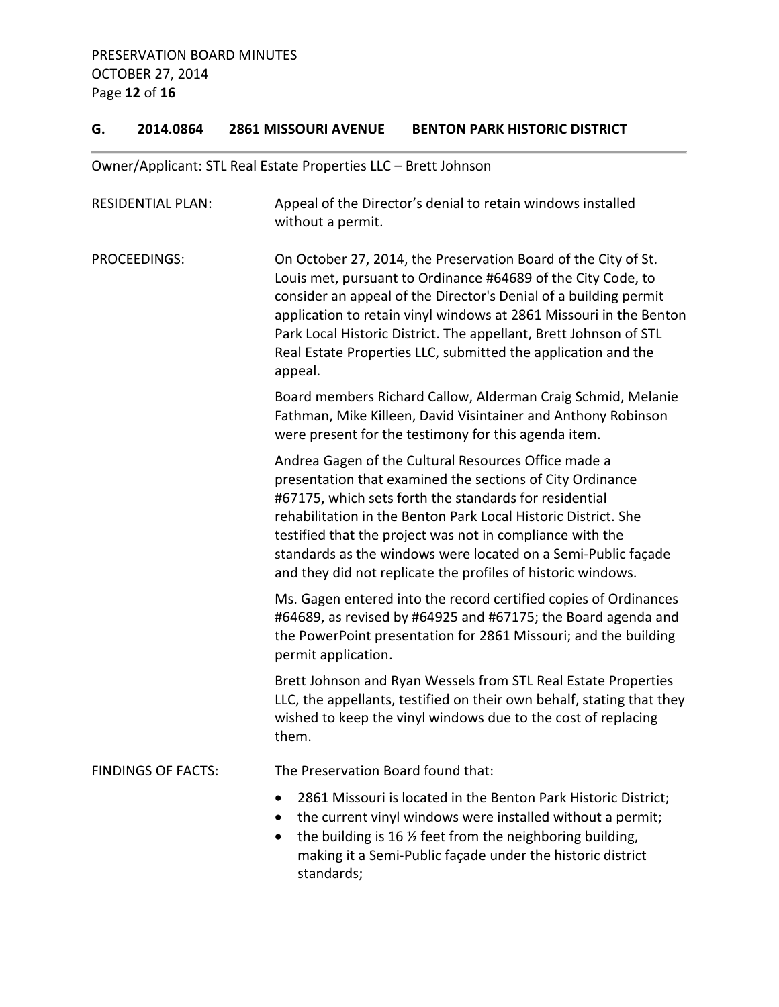### **G. 2014.0864 2861 MISSOURI AVENUE BENTON PARK HISTORIC DISTRICT**

## Owner/Applicant: STL Real Estate Properties LLC – Brett Johnson

| <b>RESIDENTIAL PLAN:</b>  | Appeal of the Director's denial to retain windows installed<br>without a permit.                                                                                                                                                                                                                                                                                                                                                            |
|---------------------------|---------------------------------------------------------------------------------------------------------------------------------------------------------------------------------------------------------------------------------------------------------------------------------------------------------------------------------------------------------------------------------------------------------------------------------------------|
| PROCEEDINGS:              | On October 27, 2014, the Preservation Board of the City of St.<br>Louis met, pursuant to Ordinance #64689 of the City Code, to<br>consider an appeal of the Director's Denial of a building permit<br>application to retain vinyl windows at 2861 Missouri in the Benton<br>Park Local Historic District. The appellant, Brett Johnson of STL<br>Real Estate Properties LLC, submitted the application and the<br>appeal.                   |
|                           | Board members Richard Callow, Alderman Craig Schmid, Melanie<br>Fathman, Mike Killeen, David Visintainer and Anthony Robinson<br>were present for the testimony for this agenda item.                                                                                                                                                                                                                                                       |
|                           | Andrea Gagen of the Cultural Resources Office made a<br>presentation that examined the sections of City Ordinance<br>#67175, which sets forth the standards for residential<br>rehabilitation in the Benton Park Local Historic District. She<br>testified that the project was not in compliance with the<br>standards as the windows were located on a Semi-Public façade<br>and they did not replicate the profiles of historic windows. |
|                           | Ms. Gagen entered into the record certified copies of Ordinances<br>#64689, as revised by #64925 and #67175; the Board agenda and<br>the PowerPoint presentation for 2861 Missouri; and the building<br>permit application.                                                                                                                                                                                                                 |
|                           | Brett Johnson and Ryan Wessels from STL Real Estate Properties<br>LLC, the appellants, testified on their own behalf, stating that they<br>wished to keep the vinyl windows due to the cost of replacing<br>them.                                                                                                                                                                                                                           |
| <b>FINDINGS OF FACTS:</b> | The Preservation Board found that:                                                                                                                                                                                                                                                                                                                                                                                                          |
|                           | 2861 Missouri is located in the Benton Park Historic District;<br>the current vinyl windows were installed without a permit;<br>$\bullet$<br>the building is 16 % feet from the neighboring building,<br>$\bullet$<br>making it a Semi-Public façade under the historic district<br>standards;                                                                                                                                              |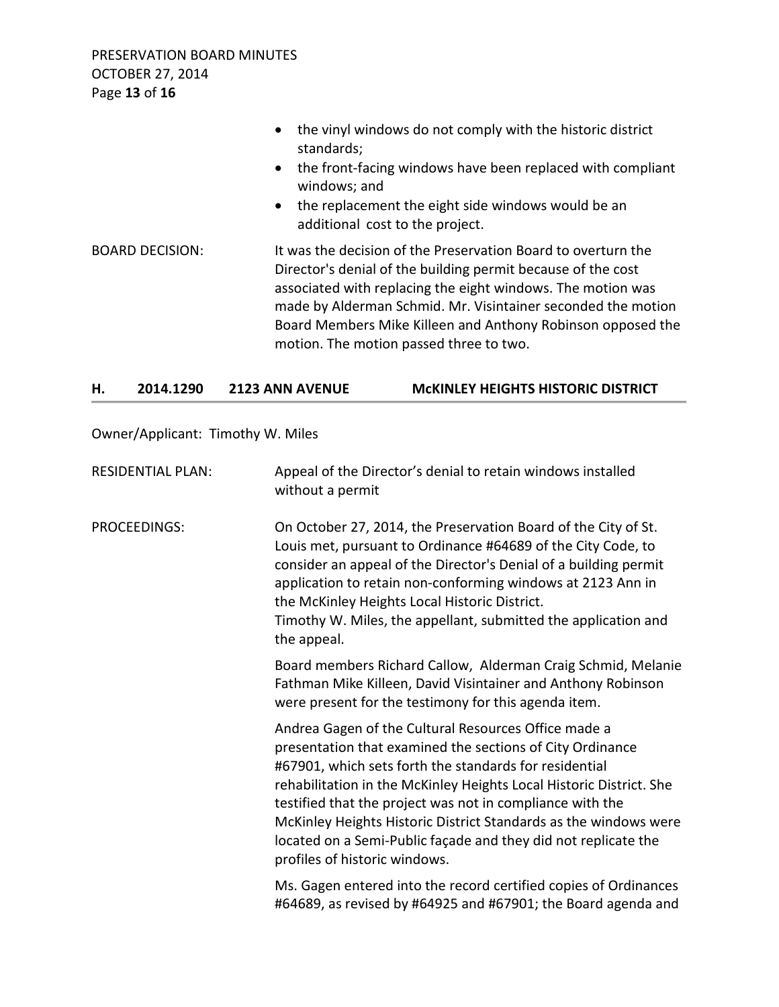PRESERVATION BOARD MINUTES OCTOBER 27, 2014 Page **13** of **16**

|                        | the vinyl windows do not comply with the historic district<br>standards;<br>the front-facing windows have been replaced with compliant<br>$\bullet$<br>windows; and<br>the replacement the eight side windows would be an<br>$\bullet$<br>additional cost to the project.                                                                                              |
|------------------------|------------------------------------------------------------------------------------------------------------------------------------------------------------------------------------------------------------------------------------------------------------------------------------------------------------------------------------------------------------------------|
| <b>BOARD DECISION:</b> | It was the decision of the Preservation Board to overturn the<br>Director's denial of the building permit because of the cost<br>associated with replacing the eight windows. The motion was<br>made by Alderman Schmid. Mr. Visintainer seconded the motion<br>Board Members Mike Killeen and Anthony Robinson opposed the<br>motion. The motion passed three to two. |

#### **H. 2014.1290 2123 ANN AVENUE McKINLEY HEIGHTS HISTORIC DISTRICT**

Owner/Applicant: Timothy W. Miles

| <b>RESIDENTIAL PLAN:</b> | Appeal of the Director's denial to retain windows installed<br>without a permit                                                                                                                                                                                                                                                                                                                                                                                                        |
|--------------------------|----------------------------------------------------------------------------------------------------------------------------------------------------------------------------------------------------------------------------------------------------------------------------------------------------------------------------------------------------------------------------------------------------------------------------------------------------------------------------------------|
| <b>PROCEEDINGS:</b>      | On October 27, 2014, the Preservation Board of the City of St.<br>Louis met, pursuant to Ordinance #64689 of the City Code, to<br>consider an appeal of the Director's Denial of a building permit<br>application to retain non-conforming windows at 2123 Ann in<br>the McKinley Heights Local Historic District.<br>Timothy W. Miles, the appellant, submitted the application and<br>the appeal.                                                                                    |
|                          | Board members Richard Callow, Alderman Craig Schmid, Melanie<br>Fathman Mike Killeen, David Visintainer and Anthony Robinson<br>were present for the testimony for this agenda item.                                                                                                                                                                                                                                                                                                   |
|                          | Andrea Gagen of the Cultural Resources Office made a<br>presentation that examined the sections of City Ordinance<br>#67901, which sets forth the standards for residential<br>rehabilitation in the McKinley Heights Local Historic District. She<br>testified that the project was not in compliance with the<br>McKinley Heights Historic District Standards as the windows were<br>located on a Semi-Public façade and they did not replicate the<br>profiles of historic windows. |
|                          | Ms. Gagen entered into the record certified copies of Ordinances<br>#64689, as revised by #64925 and #67901; the Board agenda and                                                                                                                                                                                                                                                                                                                                                      |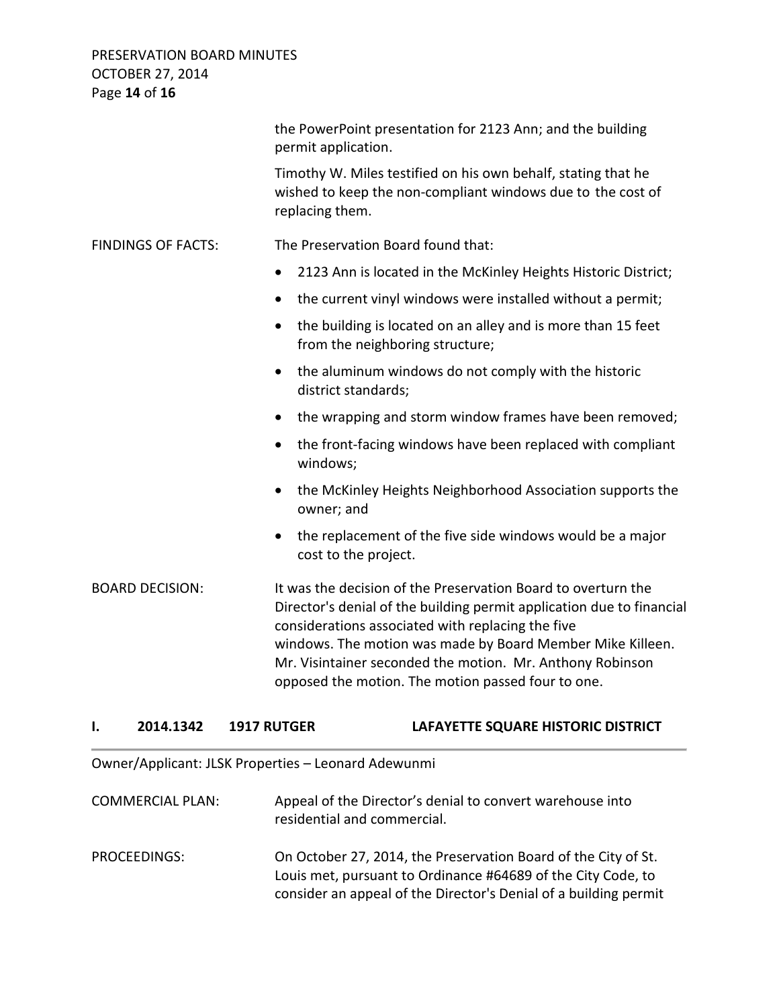PRESERVATION BOARD MINUTES OCTOBER 27, 2014 Page **14** of **16**

|                           | the PowerPoint presentation for 2123 Ann; and the building<br>permit application.                                                                                                                                                                                                                                                                                            |
|---------------------------|------------------------------------------------------------------------------------------------------------------------------------------------------------------------------------------------------------------------------------------------------------------------------------------------------------------------------------------------------------------------------|
|                           | Timothy W. Miles testified on his own behalf, stating that he<br>wished to keep the non-compliant windows due to the cost of<br>replacing them.                                                                                                                                                                                                                              |
| <b>FINDINGS OF FACTS:</b> | The Preservation Board found that:                                                                                                                                                                                                                                                                                                                                           |
|                           | 2123 Ann is located in the McKinley Heights Historic District;<br>٠                                                                                                                                                                                                                                                                                                          |
|                           | the current vinyl windows were installed without a permit;<br>$\bullet$                                                                                                                                                                                                                                                                                                      |
|                           | the building is located on an alley and is more than 15 feet<br>$\bullet$<br>from the neighboring structure;                                                                                                                                                                                                                                                                 |
|                           | the aluminum windows do not comply with the historic<br>$\bullet$<br>district standards;                                                                                                                                                                                                                                                                                     |
|                           | the wrapping and storm window frames have been removed;<br>$\bullet$                                                                                                                                                                                                                                                                                                         |
|                           | the front-facing windows have been replaced with compliant<br>$\bullet$<br>windows;                                                                                                                                                                                                                                                                                          |
|                           | the McKinley Heights Neighborhood Association supports the<br>$\bullet$<br>owner; and                                                                                                                                                                                                                                                                                        |
|                           | the replacement of the five side windows would be a major<br>$\bullet$<br>cost to the project.                                                                                                                                                                                                                                                                               |
| <b>BOARD DECISION:</b>    | It was the decision of the Preservation Board to overturn the<br>Director's denial of the building permit application due to financial<br>considerations associated with replacing the five<br>windows. The motion was made by Board Member Mike Killeen.<br>Mr. Visintainer seconded the motion. Mr. Anthony Robinson<br>opposed the motion. The motion passed four to one. |

#### **I. 2014.1342 1917 RUTGER LAFAYETTE SQUARE HISTORIC DISTRICT**

Owner/Applicant: JLSK Properties – Leonard Adewunmi

| <b>COMMERCIAL PLAN:</b> | Appeal of the Director's denial to convert warehouse into |
|-------------------------|-----------------------------------------------------------|
|                         | residential and commercial.                               |

PROCEEDINGS: On October 27, 2014, the Preservation Board of the City of St. Louis met, pursuant to Ordinance #64689 of the City Code, to consider an appeal of the Director's Denial of a building permit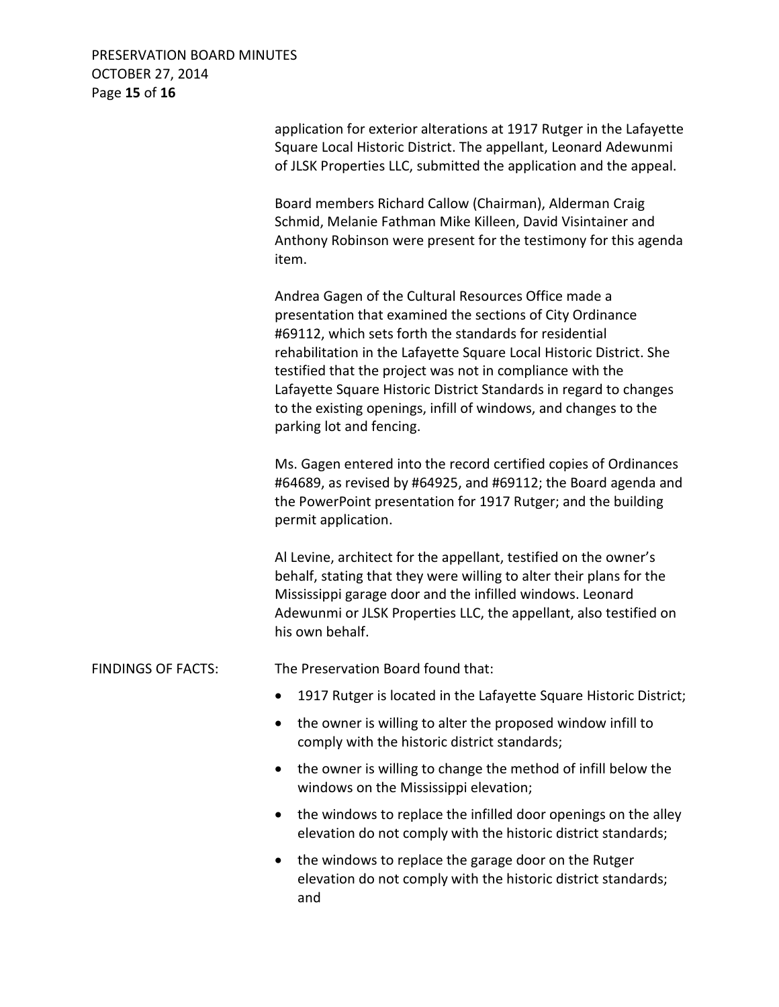PRESERVATION BOARD MINUTES OCTOBER 27, 2014 Page **15** of **16**

 application for exterior alterations at 1917 Rutger in the Lafayette Square Local Historic District. The appellant, Leonard Adewunmi of JLSK Properties LLC, submitted the application and the appeal. Board members Richard Callow (Chairman), Alderman Craig Schmid, Melanie Fathman Mike Killeen, David Visintainer and Anthony Robinson were present for the testimony for this agenda item. Andrea Gagen of the Cultural Resources Office made a presentation that examined the sections of City Ordinance #69112, which sets forth the standards for residential rehabilitation in the Lafayette Square Local Historic District. She testified that the project was not in compliance with the Lafayette Square Historic District Standards in regard to changes to the existing openings, infill of windows, and changes to the parking lot and fencing. Ms. Gagen entered into the record certified copies of Ordinances #64689, as revised by #64925, and #69112; the Board agenda and the PowerPoint presentation for 1917 Rutger; and the building permit application. Al Levine, architect for the appellant, testified on the owner's behalf, stating that they were willing to alter their plans for the Mississippi garage door and the infilled windows. Leonard Adewunmi or JLSK Properties LLC, the appellant, also testified on his own behalf. FINDINGS OF FACTS: The Preservation Board found that: • 1917 Rutger is located in the Lafayette Square Historic District;

- the owner is willing to alter the proposed window infill to comply with the historic district standards;
- the owner is willing to change the method of infill below the windows on the Mississippi elevation;
- the windows to replace the infilled door openings on the alley elevation do not comply with the historic district standards;
- the windows to replace the garage door on the Rutger elevation do not comply with the historic district standards; and